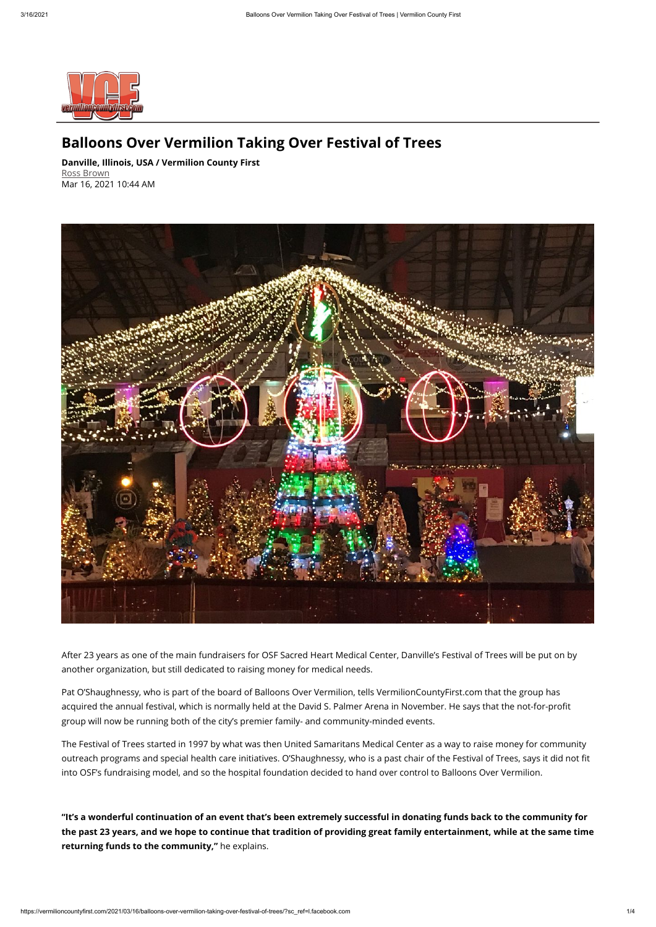

## **Balloons Over Vermilion Taking Over Festival of Trees**

**Danville, Illinois, USA / Vermilion County First** [Ross Brown](mailto:rossbrown@neuhoffmedia.com) Mar 16, 2021 10:44 AM



acquired the annual festival, which is normally held at the David S. Palmer Arena in November. He says that the not-for-profit group will now be running both of the city's premier family- and community-minded events.

After 23 years as one of the main fundraisers for OSF Sacred Heart Medical Center, Danville's Festival of Trees will be put on by another organization, but still dedicated to raising money for medical needs.

Pat O'Shaughnessy, who is part of the board of Balloons Over Vermilion, tells VermilionCountyFirst.com that the group has

The Festival of Trees started in 1997 by what was then United Samaritans Medical Center as a way to raise money for community outreach programs and special health care initiatives. O'Shaughnessy, who is a past chair of the Festival of Trees, says it did not fit into OSF's fundraising model, and so the hospital foundation decided to hand over control to Balloons Over Vermilion.

**"It's a wonderful continuation of an event that's been extremely successful in donating funds back to the community for the past 23 years, and we hope to continue that tradition of providing great family entertainment, while at the same time returning funds to the community,"** he explains.